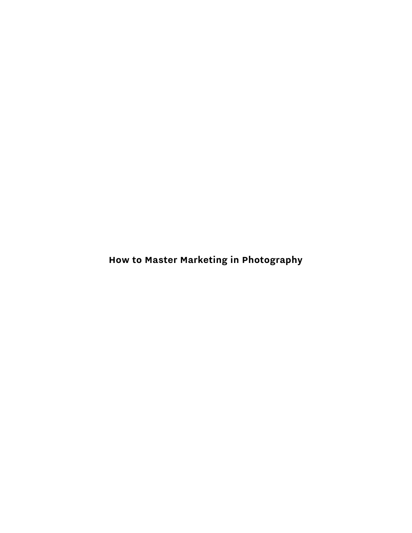**How to Master Marketing in Photography**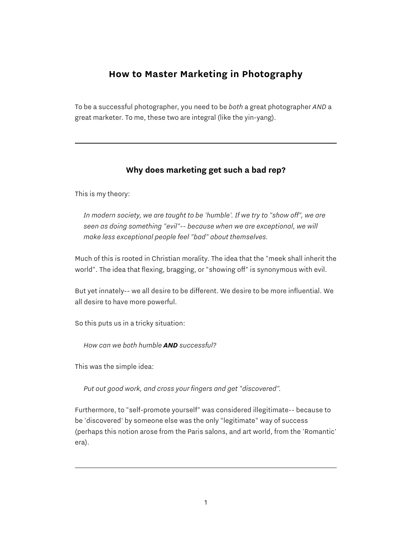# **How to Master Marketing in Photography**

To be a successful photographer, you need to be *both* a great photographer *AND* a great marketer. To me, these two are integral (like the yin-yang).

## **Why does marketing get such a bad rep?**

This is my theory:

*In modern society, we are taught to be 'humble'. If we try to "show off", we are seen as doing something "evil"-- because when we are exceptional, we will make less exceptional people feel "bad" about themselves.*

Much of this is rooted in Christian morality. The idea that the "meek shall inherit the world". The idea that flexing, bragging, or "showing off" is synonymous with evil.

But yet innately-- we all desire to be different. We desire to be more influential. We all desire to have more powerful.

So this puts us in a tricky situation:

*How can we both humble AND successful?*

This was the simple idea:

*Put out good work, and cross your fingers and get "discovered".*

Furthermore, to "self-promote yourself" was considered illegitimate-- because to be 'discovered' by someone else was the only "legitimate" way of success (perhaps this notion arose from the Paris salons, and art world, from the 'Romantic' era).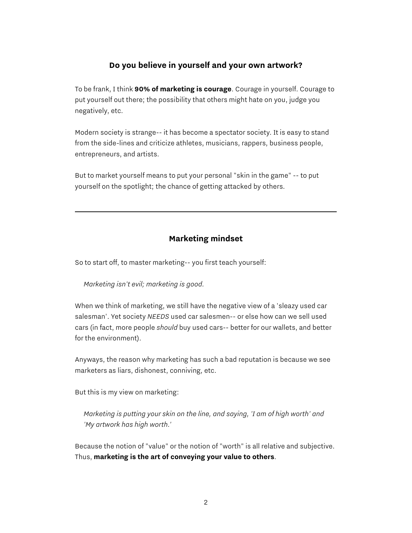#### **Do you believe in yourself and your own artwork?**

To be frank, I think **90% of marketing is courage**. Courage in yourself. Courage to put yourself out there; the possibility that others might hate on you, judge you negatively, etc.

Modern society is strange-- it has become a spectator society. It is easy to stand from the side-lines and criticize athletes, musicians, rappers, business people, entrepreneurs, and artists.

But to market yourself means to put your personal "skin in the game" -- to put yourself on the spotlight; the chance of getting attacked by others.

### **Marketing mindset**

So to start off, to master marketing-- you first teach yourself:

*Marketing isn't evil; marketing is good.*

When we think of marketing, we still have the negative view of a 'sleazy used car salesman'. Yet society *NEEDS* used car salesmen-- or else how can we sell used cars (in fact, more people *should* buy used cars-- better for our wallets, and better for the environment).

Anyways, the reason why marketing has such a bad reputation is because we see marketers as liars, dishonest, conniving, etc.

But this is my view on marketing:

*Marketing is putting your skin on the line, and saying, 'I am of high worth' and 'My artwork has high worth.'*

Because the notion of "value" or the notion of "worth" is all relative and subjective. Thus, **marketing is the art of conveying your value to others**.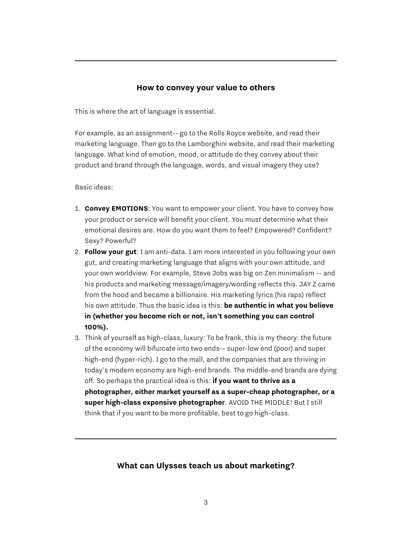#### **How to convey your value to others**

This is where the art of language is essential.

For example, as an assignment-- go to the Rolls Royce website, and read their marketing language. Then go to the Lamborghini website, and read their marketing language. What kind of emotion, mood, or attitude do they convey about their product and brand through the language, words, and visual imagery they use?

Basic ideas:

- 1. **Convey EMOTIONS**: You want to empower your client. You have to convey how your product or service will benefit your client. You must determine what their emotional desires are. How do you want them to feel? Empowered? Confident? Sexy? Powerful?
- 2. **Follow your gut**: I am anti-data. I am more interested in you following your own gut, and creating marketing language that aligns with your own attitude, and your own worldview. For example, Steve Jobs was big on Zen minimalism -- and his products and marketing message/imagery/wording reflects this. JAY Z came from the hood and became a billionaire. His marketing lyrics (his raps) reflect his own attitude. Thus the basic idea is this: **be authentic in what you believe in (whether you become rich or not, isn't something you can control 100%).**
- 3. Think of yourself as high-class, luxury: To be frank, this is my theory: the future of the economy will bifurcate into two ends-- super-low end (poor) and super high-end (hyper-rich). I go to the mall, and the companies that are thriving in today's modern economy are high-end brands. The middle-end brands are dying off. So perhaps the practical idea is this: **if you want to thrive as a photographer, either market yourself as a super-cheap photographer, or a super high-class expensive photographer**. AVOID THE MIDDLE! But I still think that if you want to be more profitable, best to go high-class.

#### **What can Ulysses teach us about marketing?**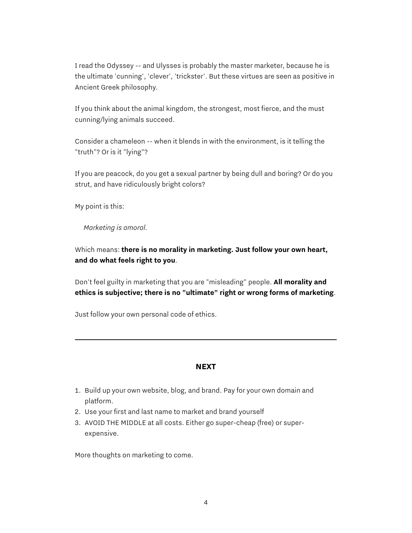I read the Odyssey -- and Ulysses is probably the master marketer, because he is the ultimate 'cunning', 'clever', 'trickster'. But these virtues are seen as positive in Ancient Greek philosophy.

If you think about the animal kingdom, the strongest, most fierce, and the must cunning/lying animals succeed.

Consider a chameleon -- when it blends in with the environment, is it telling the "truth"? Or is it "lying"?

If you are peacock, do you get a sexual partner by being dull and boring? Or do you strut, and have ridiculously bright colors?

My point is this:

*Marketing is amoral.*

Which means: **there is no morality in marketing. Just follow your own heart, and do what feels right to you**.

Don't feel guilty in marketing that you are "misleading" people. **All morality and ethics is subjective; there is no "ultimate" right or wrong forms of marketing**.

Just follow your own personal code of ethics.

#### **NEXT**

- 1. Build up your own website, blog, and brand. Pay for your own domain and platform.
- 2. Use your first and last name to market and brand yourself
- 3. AVOID THE MIDDLE at all costs. Either go super-cheap (free) or superexpensive.

More thoughts on marketing to come.